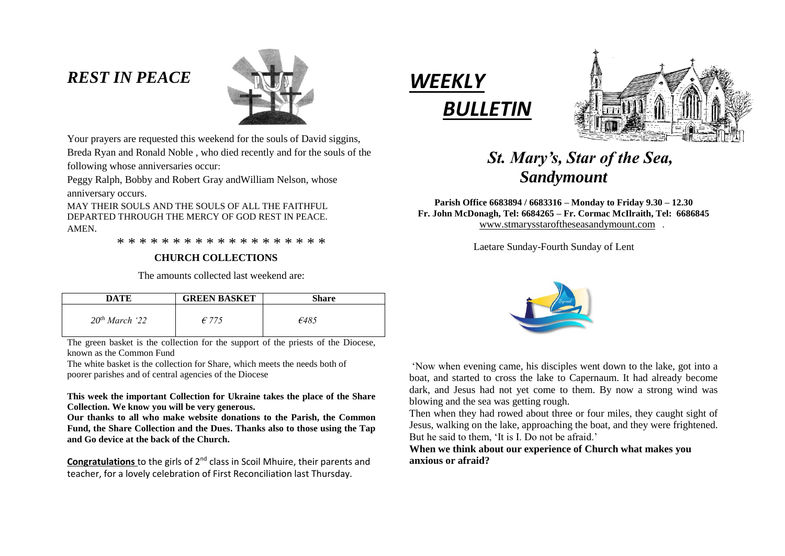## *REST IN PEACE*



Your prayers are requested this weekend for the souls of David siggins,

Breda Ryan and Ronald Noble , who died recently and for the souls of the following whose anniversaries occur:

Peggy Ralph, Bobby and Robert Gray andWilliam Nelson, whose anniversary occurs.

MAY THEIR SOULS AND THE SOULS OF ALL THE FAITHFUL DEPARTED THROUGH THE MERCY OF GOD REST IN PEACE. **AMEN** 

\* \* \* \* \* \* \* \* \* \* \* \* \* \* \* \* \* \* \*

### **CHURCH COLLECTIONS**

The amounts collected last weekend are:

| DATE                       | <b>GREEN BASKET</b> | Share |
|----------------------------|---------------------|-------|
| 20 <sup>th</sup> March '22 | $\epsilon$ 775      | €485  |

The green basket is the collection for the support of the priests of the Diocese, known as the Common Fund

The white basket is the collection for Share, which meets the needs both of poorer parishes and of central agencies of the Diocese

**This week the important Collection for Ukraine takes the place of the Share Collection. We know you will be very generous.**

**Our thanks to all who make website donations to the Parish, the Common Fund, the Share Collection and the Dues. Thanks also to those using the Tap and Go device at the back of the Church.**

**Congratulations** to the girls of 2nd class in Scoil Mhuire, their parents and teacher, for a lovely celebration of First Reconciliation last Thursday.





# *St. Mary's, Star of the Sea, Sandymount*

**Parish Office 6683894 / 6683316 – Monday to Friday 9.30 – 12.30 Fr. John McDonagh, Tel: 6684265 – Fr. Cormac McIlraith, Tel: 6686845** [www.stmarysstaroftheseasandymount.com](http://www.stmarysstaroftheseasandymount.com/) .

Laetare Sunday-Fourth Sunday of Lent



'Now when evening came, his disciples went down to the lake, got into a boat, and started to cross the lake to Capernaum. It had already become dark, and Jesus had not yet come to them. By now a strong wind was blowing and the sea was getting rough.

Then when they had rowed about three or four miles, they caught sight of Jesus, walking on the lake, approaching the boat, and they were frightened. But he said to them, 'It is I. Do not be afraid.'

**When we think about our experience of Church what makes you anxious or afraid?**